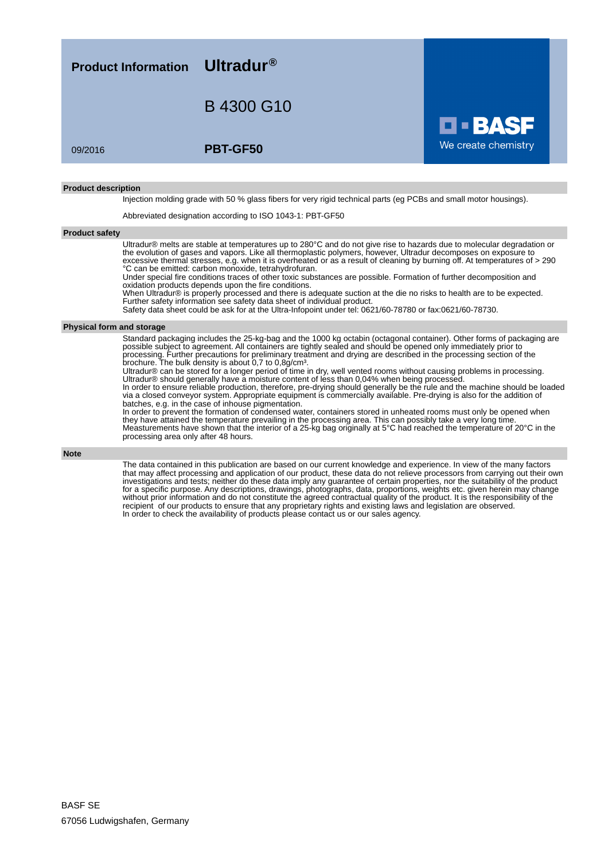**Product Information Ultradur®** B 4300 G10 We create chemistry 09/2016 **PBT-GF50**

#### **Product description**

Injection molding grade with 50 % glass fibers for very rigid technical parts (eg PCBs and small motor housings).

Abbreviated designation according to ISO 1043-1: PBT-GF50

### **Product safety**

Ultradur® melts are stable at temperatures up to 280°C and do not give rise to hazards due to molecular degradation or the evolution of gases and vapors. Like all thermoplastic polymers, however, Ultradur decomposes on exposure to excessive thermal stresses, e.g. when it is overheated or as a result of cleaning by burning off. At temperatures of > 290 °C can be emitted: carbon monoxide, tetrahydrofuran.

Under special fire conditions traces of other toxic substances are possible. Formation of further decomposition and oxidation products depends upon the fire conditions.

When Ultradur® is properly processed and there is adequate suction at the die no risks to health are to be expected. Further safety information see safety data sheet of individual product.

Safety data sheet could be ask for at the Ultra-Infopoint under tel: 0621/60-78780 or fax:0621/60-78730.

#### **Physical form and storage**

Standard packaging includes the 25-kg-bag and the 1000 kg octabin (octagonal container). Other forms of packaging are possible subject to agreement. All containers are tightly sealed and should be opened only immediately prior to processing. Further precautions for preliminary treatment and drying are described in the processing section of the brochure. The bulk density is about 0,7 to 0,8g/cm³.

Ultradur® can be stored for a longer period of time in dry, well vented rooms without causing problems in processing. Ultradur® should generally have a moisture content of less than 0,04% when being processed.

In order to ensure reliable production, therefore, pre-drying should generally be the rule and the machine should be loaded via a closed conveyor system. Appropriate equipment is commercially available. Pre-drying is also for the addition of batches, e.g. in the case of inhouse pigmentation.

In order to prevent the formation of condensed water, containers stored in unheated rooms must only be opened when they have attained the temperature prevailing in the processing area. This can possibly take a very long time. Measturements have shown that the interior of a 25-kg bag originally at 5°C had reached the temperature of 20°C in the processing area only after 48 hours.

**Note**

The data contained in this publication are based on our current knowledge and experience. In view of the many factors that may affect processing and application of our product, these data do not relieve processors from carrying out their own investigations and tests; neither do these data imply any guarantee of certain properties, nor the suitability of the product for a specific purpose. Any descriptions, drawings, photographs, data, proportions, weights etc. given herein may change without prior information and do not constitute the agreed contractual quality of the product. It is the responsibility of the recipient of our products to ensure that any proprietary rights and existing laws and legislation are observed. In order to check the availability of products please contact us or our sales agency.